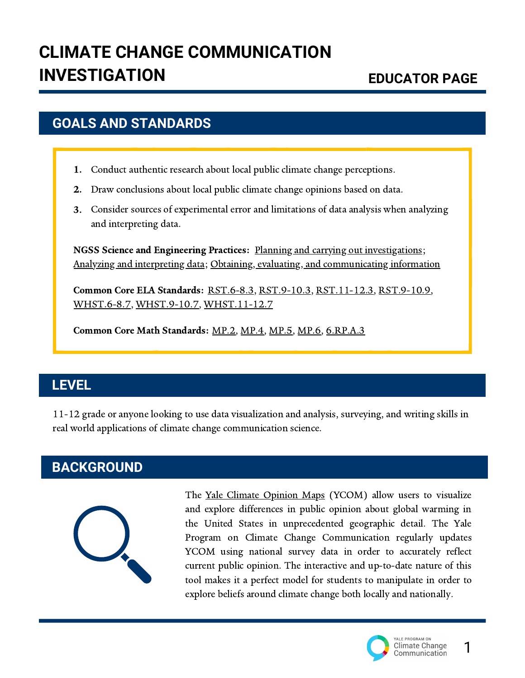### **GOALS AND STANDARDS**

- 1. Conduct authentic research about local public climate change perceptions.
- Draw conclusions about local public climate change opinions based on data. 2.
- Consider sources of experimental error and limitations of data analysis when analyzing 3.and interpreting data.

NGSS Science and Engineering Practices: Planning and carrying out [investigations;](https://ngss.nsta.org/Practices.aspx?id=3) NGSS Science and Engineering Practices: Analyzing and [interpreting](https://ngss.nsta.org/Practices.aspx?id=4) data; Obtaining, evaluating, and [communicating](https://ngss.nsta.org/Practices.aspx?id=8) information

Common Core ELA Standards: [RST.6-8.3](http://www.corestandards.org/ELA-Literacy/RST/6-8/3/), [RST.9-10.3,](http://www.corestandards.org/ELA-Literacy/RST/9-10/3/) [RST.11-12.3](http://www.corestandards.org/ELA-Literacy/RST/11-12/3/), [RST.9-10.9](http://www.corestandards.org/ELA-Literacy/RST/9-10/9/), [WHST.6-8.7](http://www.corestandards.org/ELA-Literacy/WHST/6-8/7/), [WHST.9-10.7](http://www.corestandards.org/ELA-Literacy/W/9-10/7/), [WHST.11-12.7](http://www.corestandards.org/ELA-Literacy/W/11-12/7/)

Common Core Math Standards: [MP.2,](http://www.corestandards.org/Math/Practice/MP2/) [MP.4](http://www.corestandards.org/Math/Practice/MP4/), [MP.5](http://www.corestandards.org/Math/Practice/MP5/), [MP.6,](http://www.corestandards.org/Math/Practice/MP6/) [6.RP.A.3](http://www.corestandards.org/Math/Content/6/RP/) Common Core Math Standards:

# **LEVEL**

11-12 grade or anyone looking to use data visualization and analysis, surveying, and writing skills in real world applications of climate change communication science.

# **BACKGROUND**



The Yale Climate [Opinion](https://climatecommunication.yale.edu/visualizations-data/ycom-us/) Maps (YCOM) allow users to visualize and explore differences in public opinion about global warming in the United States in unprecedented geographic detail. The Yale Program on Climate Change Communication regularly updates YCOM using national survey data in order to accurately reflect current public opinion. The interactive and up-to-date nature of this tool makes it a perfect model for students to manipulate in order to explore beliefs around climate change both locally and nationally.



1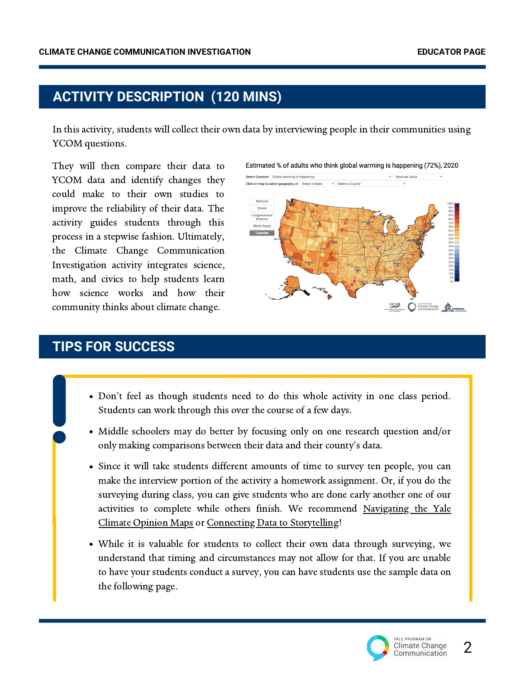# **ACTIVITY DESCRIPTION (120 MINS)**

In this activity, students will collect their own data by interviewing people in their communities using YCOM questions.

They will then compare their data to YCOM data and identify changes they could make to their own studies to improve the reliability of their data. The activity guides students through this process in a stepwise fashion. Ultimately, the Climate Change Communication Investigation activity integrates science, math, and civics to help students learn how science works and how their community thinks about climate change.



#### **TIPS FOR SUCCESS**

- Don't feel as though students need to do this whole activity in one class period. Students can work through this over the course of a few days.
- Middle schoolers may do better by focusing only on one research question and/or only making comparisons between their data and their county's data.
- Since it will take students different amounts of time to survey ten people, you can make the interview portion of the activity a homework assignment. Or, if you do the surveying during class, you can give students who are done early another one of our activities to complete while others finish. We recommend Navigating the Yale Climate Opinion Maps or Connecting Data to [Storytelling!](https://climatecommunication.yale.edu/for-educators/navigating-the-yale-climate-opinion-maps/)
- While it is valuable for students to collect their own data through surveying, we understand that timing and circumstances may not allow for that. If you are unable to have your students conduct a survey, you can have students use the sample data on the following page.